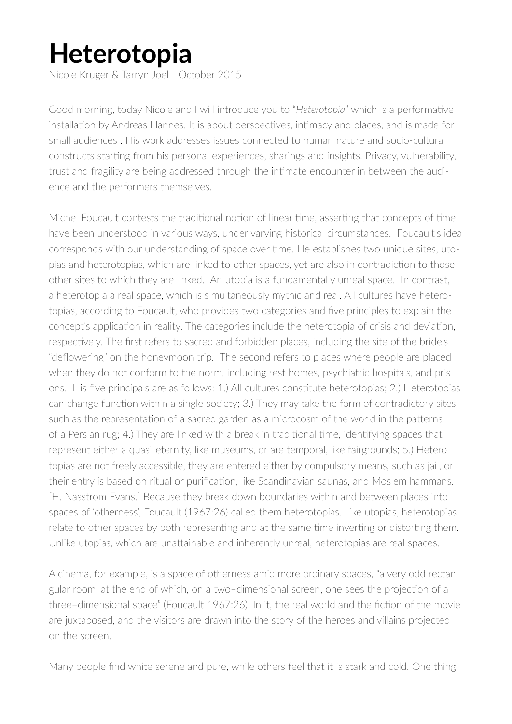## **Heterotopia**

Nicole Kruger & Tarryn Joel - October 2015

Good morning, today Nicole and I will introduce you to "*Heterotopia*" which is a performative installation by Andreas Hannes. It is about perspectives, intimacy and places, and is made for small audiences . His work addresses issues connected to human nature and socio-cultural constructs starting from his personal experiences, sharings and insights. Privacy, vulnerability, trust and fragility are being addressed through the intimate encounter in between the audience and the performers themselves.

Michel Foucault contests the traditional notion of linear time, asserting that concepts of time have been understood in various ways, under varying historical circumstances. Foucault's idea corresponds with our understanding of space over time. He establishes two unique sites, utopias and heterotopias, which are linked to other spaces, yet are also in contradiction to those other sites to which they are linked. An utopia is a fundamentally unreal space. In contrast, a heterotopia a real space, which is simultaneously mythic and real. All cultures have heterotopias, according to Foucault, who provides two categories and five principles to explain the concept's application in reality. The categories include the heterotopia of crisis and deviation, respectively. The first refers to sacred and forbidden places, including the site of the bride's "deflowering" on the honeymoon trip. The second refers to places where people are placed when they do not conform to the norm, including rest homes, psychiatric hospitals, and prisons. His five principals are as follows: 1.) All cultures constitute heterotopias; 2.) Heterotopias can change function within a single society; 3.) They may take the form of contradictory sites, such as the representation of a sacred garden as a microcosm of the world in the patterns of a Persian rug; 4.) They are linked with a break in traditional time, identifying spaces that represent either a quasi-eternity, like museums, or are temporal, like fairgrounds; 5.) Heterotopias are not freely accessible, they are entered either by compulsory means, such as jail, or their entry is based on ritual or purification, like Scandinavian saunas, and Moslem hammans. [H. Nasstrom Evans.] Because they break down boundaries within and between places into spaces of 'otherness', Foucault (1967:26) called them heterotopias. Like utopias, heterotopias relate to other spaces by both representing and at the same time inverting or distorting them. Unlike utopias, which are unattainable and inherently unreal, heterotopias are real spaces.

A cinema, for example, is a space of otherness amid more ordinary spaces, "a very odd rectangular room, at the end of which, on a two–dimensional screen, one sees the projection of a three–dimensional space" (Foucault 1967:26). In it, the real world and the fiction of the movie are juxtaposed, and the visitors are drawn into the story of the heroes and villains projected on the screen.

Many people find white serene and pure, while others feel that it is stark and cold. One thing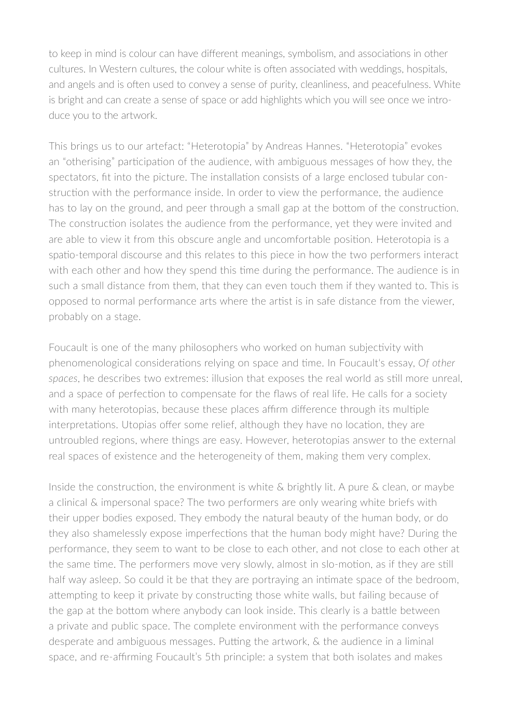to keep in mind is colour can have different meanings, symbolism, and associations in other cultures. In Western cultures, the colour white is often associated with weddings, hospitals, and angels and is often used to convey a sense of purity, cleanliness, and peacefulness. White is bright and can create a sense of space or add highlights which you will see once we introduce you to the artwork.

This brings us to our artefact: "Heterotopia" by Andreas Hannes. "Heterotopia" evokes an "otherising" participation of the audience, with ambiguous messages of how they, the spectators, fit into the picture. The installation consists of a large enclosed tubular construction with the performance inside. In order to view the performance, the audience has to lay on the ground, and peer through a small gap at the bottom of the construction. The construction isolates the audience from the performance, yet they were invited and are able to view it from this obscure angle and uncomfortable position. Heterotopia is a spatio-temporal discourse and this relates to this piece in how the two performers interact with each other and how they spend this time during the performance. The audience is in such a small distance from them, that they can even touch them if they wanted to. This is opposed to normal performance arts where the artist is in safe distance from the viewer, probably on a stage.

Foucault is one of the many philosophers who worked on human subjectivity with phenomenological considerations relying on space and time. In Foucault's essay, *Of other spaces*, he describes two extremes: illusion that exposes the real world as still more unreal, and a space of perfection to compensate for the flaws of real life. He calls for a society with many heterotopias, because these places affirm difference through its multiple interpretations. Utopias offer some relief, although they have no location, they are untroubled regions, where things are easy. However, heterotopias answer to the external real spaces of existence and the heterogeneity of them, making them very complex.

Inside the construction, the environment is white & brightly lit. A pure & clean, or maybe a clinical & impersonal space? The two performers are only wearing white briefs with their upper bodies exposed. They embody the natural beauty of the human body, or do they also shamelessly expose imperfections that the human body might have? During the performance, they seem to want to be close to each other, and not close to each other at the same time. The performers move very slowly, almost in slo-motion, as if they are still half way asleep. So could it be that they are portraying an intimate space of the bedroom, attempting to keep it private by constructing those white walls, but failing because of the gap at the bottom where anybody can look inside. This clearly is a battle between a private and public space. The complete environment with the performance conveys desperate and ambiguous messages. Putting the artwork, & the audience in a liminal space, and re-affirming Foucault's 5th principle: a system that both isolates and makes